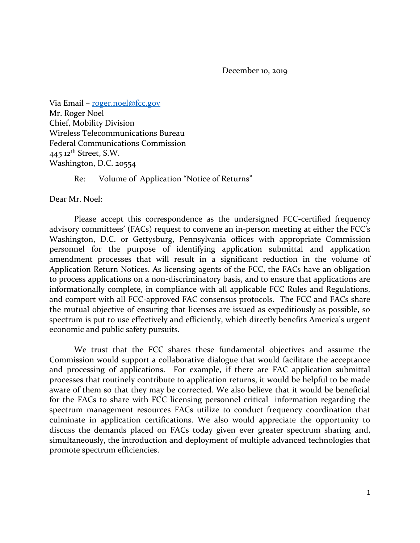December 10, 2019

Via Email – [roger.noel@fcc.gov](mailto:roger.noel@fcc.gov) Mr. Roger Noel Chief, Mobility Division Wireless Telecommunications Bureau Federal Communications Commission  $445$  12<sup>th</sup> Street, S.W. Washington, D.C. 20554

Re: Volume of Application "Notice of Returns"

Dear Mr. Noel:

Please accept this correspondence as the undersigned FCC-certified frequency advisory committees' (FACs) request to convene an in-person meeting at either the FCC's Washington, D.C. or Gettysburg, Pennsylvania offices with appropriate Commission personnel for the purpose of identifying application submittal and application amendment processes that will result in a significant reduction in the volume of Application Return Notices. As licensing agents of the FCC, the FACs have an obligation to process applications on a non-discriminatory basis, and to ensure that applications are informationally complete, in compliance with all applicable FCC Rules and Regulations, and comport with all FCC-approved FAC consensus protocols. The FCC and FACs share the mutual objective of ensuring that licenses are issued as expeditiously as possible, so spectrum is put to use effectively and efficiently, which directly benefits America's urgent economic and public safety pursuits.

We trust that the FCC shares these fundamental objectives and assume the Commission would support a collaborative dialogue that would facilitate the acceptance and processing of applications. For example, if there are FAC application submittal processes that routinely contribute to application returns, it would be helpful to be made aware of them so that they may be corrected. We also believe that it would be beneficial for the FACs to share with FCC licensing personnel critical information regarding the spectrum management resources FACs utilize to conduct frequency coordination that culminate in application certifications. We also would appreciate the opportunity to discuss the demands placed on FACs today given ever greater spectrum sharing and, simultaneously, the introduction and deployment of multiple advanced technologies that promote spectrum efficiencies.